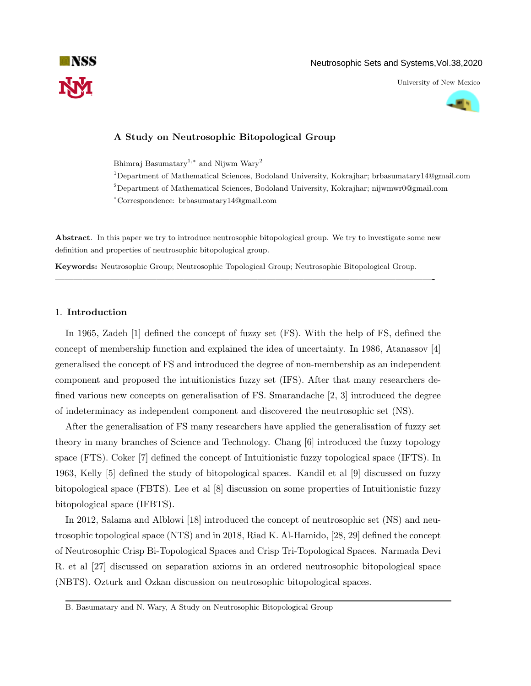University of New Mexico



# A Study on Neutrosophic Bitopological Group

Bhimraj Basumatary<sup>1,∗</sup> and Nijwm Wary<sup>2</sup>

<sup>1</sup>Department of Mathematical Sciences, Bodoland University, Kokrajhar; brbasumatary14@gmail.com <sup>2</sup>Department of Mathematical Sciences, Bodoland University, Kokrajhar; nijwmwr0@gmail.com

<sup>∗</sup>Correspondence: brbasumatary14@gmail.com

Abstract. In this paper we try to introduce neutrosophic bitopological group. We try to investigate some new definition and properties of neutrosophic bitopological group.

—————————————————————————————————————————-

Keywords: Neutrosophic Group; Neutrosophic Topological Group; Neutrosophic Bitopological Group.

# 1. Introduction

In 1965, Zadeh [1] defined the concept of fuzzy set (FS). With the help of FS, defined the concept of membership function and explained the idea of uncertainty. In 1986, Atanassov [4] generalised the concept of FS and introduced the degree of non-membership as an independent component and proposed the intuitionistics fuzzy set (IFS). After that many researchers defined various new concepts on generalisation of FS. Smarandache [2, 3] introduced the degree of indeterminacy as independent component and discovered the neutrosophic set (NS).

After the generalisation of FS many researchers have applied the generalisation of fuzzy set theory in many branches of Science and Technology. Chang [6] introduced the fuzzy topology space (FTS). Coker [7] defined the concept of Intuitionistic fuzzy topological space (IFTS). In 1963, Kelly [5] defined the study of bitopological spaces. Kandil et al [9] discussed on fuzzy bitopological space (FBTS). Lee et al [8] discussion on some properties of Intuitionistic fuzzy bitopological space (IFBTS).

In 2012, Salama and Alblowi [18] introduced the concept of neutrosophic set (NS) and neutrosophic topological space (NTS) and in 2018, Riad K. Al-Hamido, [28, 29] defined the concept of Neutrosophic Crisp Bi-Topological Spaces and Crisp Tri-Topological Spaces. Narmada Devi R. et al [27] discussed on separation axioms in an ordered neutrosophic bitopological space (NBTS). Ozturk and Ozkan discussion on neutrosophic bitopological spaces.

B. Basumatary and N. Wary, A Study on Neutrosophic Bitopological Group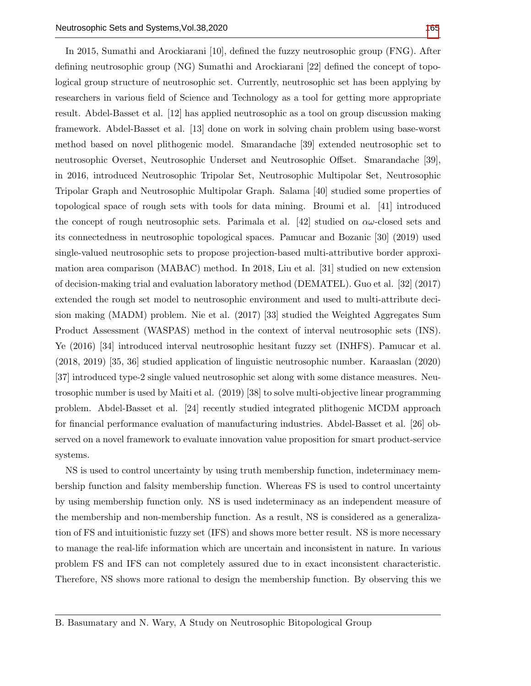In 2015, Sumathi and Arockiarani [10], defined the fuzzy neutrosophic group (FNG). After defining neutrosophic group (NG) Sumathi and Arockiarani [22] defined the concept of topological group structure of neutrosophic set. Currently, neutrosophic set has been applying by researchers in various field of Science and Technology as a tool for getting more appropriate result. Abdel-Basset et al. [12] has applied neutrosophic as a tool on group discussion making framework. Abdel-Basset et al. [13] done on work in solving chain problem using base-worst method based on novel plithogenic model. Smarandache [39] extended neutrosophic set to neutrosophic Overset, Neutrosophic Underset and Neutrosophic Offset. Smarandache [39], in 2016, introduced Neutrosophic Tripolar Set, Neutrosophic Multipolar Set, Neutrosophic Tripolar Graph and Neutrosophic Multipolar Graph. Salama [40] studied some properties of topological space of rough sets with tools for data mining. Broumi et al. [41] introduced the concept of rough neutrosophic sets. Parimala et al. [42] studied on  $\alpha\omega$ -closed sets and its connectedness in neutrosophic topological spaces. Pamucar and Bozanic [30] (2019) used single-valued neutrosophic sets to propose projection-based multi-attributive border approximation area comparison (MABAC) method. In 2018, Liu et al. [31] studied on new extension of decision-making trial and evaluation laboratory method (DEMATEL). Guo et al. [32] (2017) extended the rough set model to neutrosophic environment and used to multi-attribute decision making (MADM) problem. Nie et al. (2017) [33] studied the Weighted Aggregates Sum Product Assessment (WASPAS) method in the context of interval neutrosophic sets (INS). Ye (2016) [34] introduced interval neutrosophic hesitant fuzzy set (INHFS). Pamucar et al. (2018, 2019) [35, 36] studied application of linguistic neutrosophic number. Karaaslan (2020) [37] introduced type-2 single valued neutrosophic set along with some distance measures. Neutrosophic number is used by Maiti et al. (2019) [38] to solve multi-objective linear programming problem. Abdel-Basset et al. [24] recently studied integrated plithogenic MCDM approach for financial performance evaluation of manufacturing industries. Abdel-Basset et al. [26] observed on a novel framework to evaluate innovation value proposition for smart product-service systems.

NS is used to control uncertainty by using truth membership function, indeterminacy membership function and falsity membership function. Whereas FS is used to control uncertainty by using membership function only. NS is used indeterminacy as an independent measure of the membership and non-membership function. As a result, NS is considered as a generalization of FS and intuitionistic fuzzy set (IFS) and shows more better result. NS is more necessary to manage the real-life information which are uncertain and inconsistent in nature. In various problem FS and IFS can not completely assured due to in exact inconsistent characteristic. Therefore, NS shows more rational to design the membership function. By observing this we

B. Basumatary and N. Wary, A Study on Neutrosophic Bitopological Group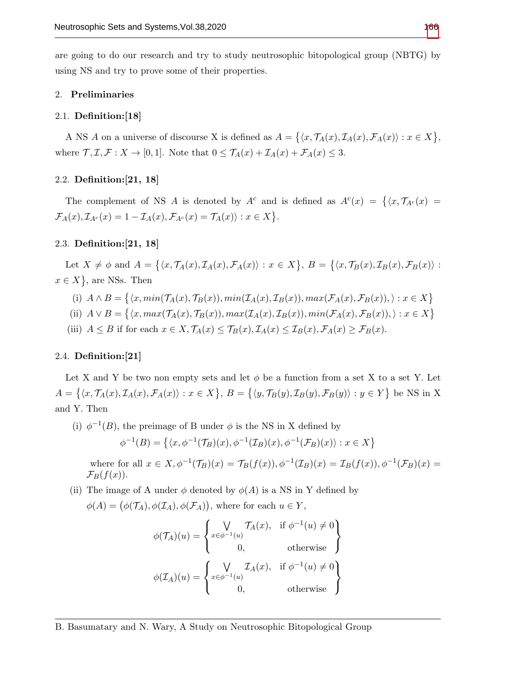are going to do our research and try to study neutrosophic bitopological group (NBTG) by using NS and try to prove some of their properties.

## 2. Preliminaries

#### 2.1. Definition:[18]

A NS A on a universe of discourse X is defined as  $A = \{ \langle x, \mathcal{T}_A(x), \mathcal{I}_A(x), \mathcal{F}_A(x) \rangle : x \in X \},\$ where  $\mathcal{T}, \mathcal{I}, \mathcal{F}: X \to [0, 1]$ . Note that  $0 \leq \mathcal{T}_A(x) + \mathcal{I}_A(x) + \mathcal{F}_A(x) \leq 3$ .

## 2.2. Definition:[21, 18]

The complement of NS A is denoted by  $A^c$  and is defined as  $A^c(x) = \{ \langle x, \mathcal{T}_{A^c}(x) \rangle \mid$  $\mathcal{F}_A(x), \mathcal{I}_{A^c}(x) = 1 - \mathcal{I}_A(x), \mathcal{F}_{A^c}(x) = \mathcal{T}_A(x)$ ;  $x \in X$ .

# 2.3. Definition:[21, 18]

Let  $X \neq \phi$  and  $A = \{ \langle x, \mathcal{T}_A(x), \mathcal{I}_A(x), \mathcal{F}_A(x) \rangle : x \in X \}, B = \{ \langle x, \mathcal{T}_B(x), \mathcal{I}_B(x), \mathcal{F}_B(x) \rangle : x \in X \}$  $x \in X$ , are NSs. Then

- (i)  $A \wedge B = \{ \langle x, min(\mathcal{T}_A(x), \mathcal{T}_B(x)), min(\mathcal{I}_A(x), \mathcal{I}_B(x)), max(\mathcal{F}_A(x), \mathcal{F}_B(x)), \rangle : x \in X \}$
- (ii)  $A \vee B = \{ \langle x, max(\mathcal{T}_A(x), \mathcal{T}_B(x)), max(\mathcal{I}_A(x), \mathcal{I}_B(x)), min(\mathcal{F}_A(x), \mathcal{F}_B(x)), \rangle : x \in X \}$
- (iii)  $A \leq B$  if for each  $x \in X$ ,  $\mathcal{T}_A(x) \leq \mathcal{T}_B(x)$ ,  $\mathcal{T}_A(x) \leq \mathcal{T}_B(x)$ ,  $\mathcal{F}_A(x) \geq \mathcal{F}_B(x)$ .

### 2.4. Definition:[21]

Let X and Y be two non empty sets and let  $\phi$  be a function from a set X to a set Y. Let  $A = \{ \langle x, \mathcal{T}_A(x), \mathcal{I}_A(x), \mathcal{F}_A(x) \rangle : x \in X \}, B = \{ \langle y, \mathcal{T}_B(y), \mathcal{I}_B(y), \mathcal{F}_B(y) \rangle : y \in Y \}$  be NS in X and Y. Then

(i)  $\phi^{-1}(B)$ , the preimage of B under  $\phi$  is the NS in X defined by  $\phi^{-1}(B) = \left\{ \langle x, \phi^{-1}(\mathcal{T}_B)(x), \phi^{-1}(\mathcal{I}_B)(x), \phi^{-1}(\mathcal{F}_B)(x) \rangle : x \in X \right\}$ 

where for all  $x \in X$ ,  $\phi^{-1}(\mathcal{T}_B)(x) = \mathcal{T}_B(f(x))$ ,  $\phi^{-1}(\mathcal{I}_B)(x) = \mathcal{I}_B(f(x))$ ,  $\phi^{-1}(\mathcal{F}_B)(x) =$  $\mathcal{F}_B(f(x)).$ 

(ii) The image of A under  $\phi$  denoted by  $\phi(A)$  is a NS in Y defined by

$$
\phi(A) = (\phi(\mathcal{T}_A), \phi(\mathcal{I}_A), \phi(\mathcal{F}_A)),
$$
 where for each  $u \in Y$ ,

$$
\phi(\mathcal{T}_A)(u) = \begin{cases} \n\bigvee_{x \in \phi^{-1}(u)} \mathcal{T}_A(x), & \text{if } \phi^{-1}(u) \neq 0 \\ \n0, & \text{otherwise} \n\end{cases}
$$
\n
$$
\phi(\mathcal{I}_A)(u) = \begin{cases} \n\bigvee_{x \in \phi^{-1}(u)} \mathcal{I}_A(x), & \text{if } \phi^{-1}(u) \neq 0 \\ \n0, & \text{otherwise} \n\end{cases}
$$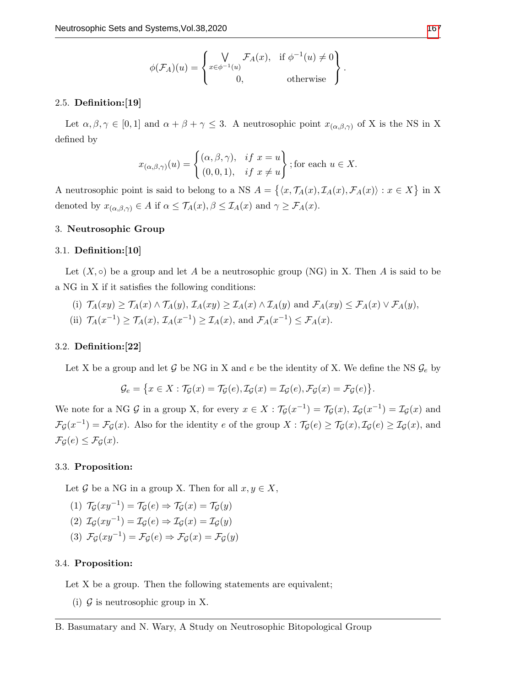$$
\phi(\mathcal{F}_A)(u) = \begin{cases} \bigvee_{x \in \phi^{-1}(u)} \mathcal{F}_A(x), & \text{if } \phi^{-1}(u) \neq 0 \\ 0, & \text{otherwise} \end{cases}.
$$

### 2.5. Definition:[19]

Let  $\alpha, \beta, \gamma \in [0,1]$  and  $\alpha + \beta + \gamma \leq 3$ . A neutrosophic point  $x_{(\alpha,\beta,\gamma)}$  of X is the NS in X defined by

$$
x_{(\alpha,\beta,\gamma)}(u) = \begin{cases} (\alpha,\beta,\gamma), & \text{if } x = u \\ (0,0,1), & \text{if } x \neq u \end{cases}
$$
; for each  $u \in X$ .

A neutrosophic point is said to belong to a NS  $A = \{ \langle x, \mathcal{T}_A(x), \mathcal{I}_A(x), \mathcal{F}_A(x) \rangle : x \in X \}$  in X denoted by  $x_{(\alpha,\beta,\gamma)} \in A$  if  $\alpha \leq \mathcal{T}_A(x)$ ,  $\beta \leq \mathcal{T}_A(x)$  and  $\gamma \geq \mathcal{F}_A(x)$ .

# 3. Neutrosophic Group

#### 3.1. Definition:[10]

Let  $(X, \circ)$  be a group and let A be a neutrosophic group (NG) in X. Then A is said to be a NG in X if it satisfies the following conditions:

(i) 
$$
\mathcal{T}_A(xy) \ge \mathcal{T}_A(x) \land \mathcal{T}_A(y)
$$
,  $\mathcal{T}_A(xy) \ge \mathcal{T}_A(x) \land \mathcal{T}_A(y)$  and  $\mathcal{F}_A(xy) \le \mathcal{F}_A(x) \lor \mathcal{F}_A(y)$ ,  
(ii)  $\mathcal{T}_A(x^{-1}) \ge \mathcal{T}_A(x)$ ,  $\mathcal{T}_A(x^{-1}) \ge \mathcal{T}_A(x)$ , and  $\mathcal{F}_A(x^{-1}) \le \mathcal{F}_A(x)$ .

### 3.2. Definition:[22]

Let X be a group and let G be NG in X and e be the identity of X. We define the NS  $\mathcal{G}_e$  by

$$
\mathcal{G}_e = \{x \in X : \mathcal{T}_{\mathcal{G}}(x) = \mathcal{T}_{\mathcal{G}}(e), \mathcal{I}_{\mathcal{G}}(x) = \mathcal{I}_{\mathcal{G}}(e), \mathcal{F}_{\mathcal{G}}(x) = \mathcal{F}_{\mathcal{G}}(e)\}.
$$

We note for a NG G in a group X, for every  $x \in X : \mathcal{T}_\mathcal{G}(x^{-1}) = \mathcal{T}_\mathcal{G}(x), \mathcal{I}_\mathcal{G}(x^{-1}) = \mathcal{I}_\mathcal{G}(x)$  and  $\mathcal{F}_{\mathcal{G}}(x^{-1}) = \mathcal{F}_{\mathcal{G}}(x)$ . Also for the identity e of the group  $X : \mathcal{T}_{\mathcal{G}}(e) \geq \mathcal{T}_{\mathcal{G}}(x), \mathcal{I}_{\mathcal{G}}(e) \geq \mathcal{I}_{\mathcal{G}}(x)$ , and  $\mathcal{F}_{\mathcal{G}}(e) \leq \mathcal{F}_{\mathcal{G}}(x).$ 

#### 3.3. Proposition:

Let G be a NG in a group X. Then for all  $x, y \in X$ ,

- (1)  $\mathcal{T}_{\mathcal{G}}(xy^{-1}) = \mathcal{T}_{\mathcal{G}}(e) \Rightarrow \mathcal{T}_{\mathcal{G}}(x) = \mathcal{T}_{\mathcal{G}}(y)$
- (2)  $\mathcal{I}_{\mathcal{G}}(xy^{-1}) = \mathcal{I}_{\mathcal{G}}(e) \Rightarrow \mathcal{I}_{\mathcal{G}}(x) = \mathcal{I}_{\mathcal{G}}(y)$
- (3)  $\mathcal{F}_{\mathcal{G}}(xy^{-1}) = \mathcal{F}_{\mathcal{G}}(e) \Rightarrow \mathcal{F}_{\mathcal{G}}(x) = \mathcal{F}_{\mathcal{G}}(y)$

# 3.4. Proposition:

Let X be a group. Then the following statements are equivalent;

(i)  $\mathcal G$  is neutrosophic group in X.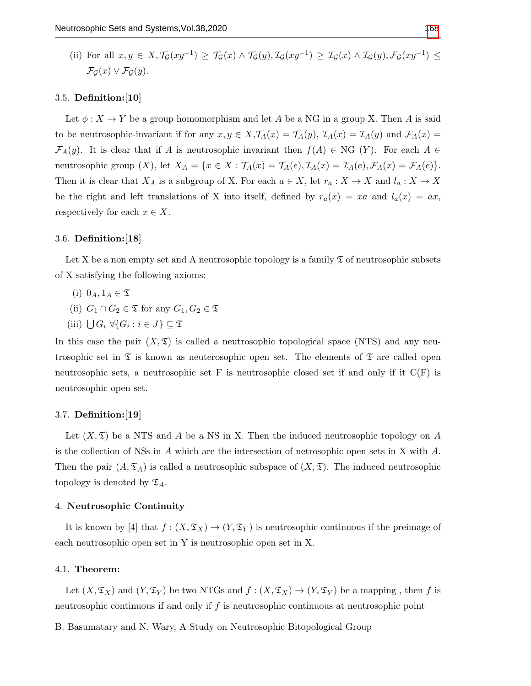(ii) For all  $x, y \in X, \mathcal{T}_{\mathcal{G}}(xy^{-1}) \geq \mathcal{T}_{\mathcal{G}}(x) \wedge \mathcal{T}_{\mathcal{G}}(y), \mathcal{I}_{\mathcal{G}}(xy^{-1}) \geq \mathcal{I}_{\mathcal{G}}(x) \wedge \mathcal{I}_{\mathcal{G}}(y), \mathcal{F}_{\mathcal{G}}(xy^{-1}) \leq$  $\mathcal{F}_{\mathcal{G}}(x) \vee \mathcal{F}_{\mathcal{G}}(y).$ 

### 3.5. Definition:[10]

Let  $\phi: X \to Y$  be a group homomorphism and let A be a NG in a group X. Then A is said to be neutrosophic-invariant if for any  $x, y \in X, \mathcal{T}_A(x) = \mathcal{T}_A(y), \mathcal{T}_A(x) = \mathcal{T}_A(y)$  and  $\mathcal{F}_A(x) =$  $\mathcal{F}_A(y)$ . It is clear that if A is neutrosophic invariant then  $f(A) \in NG(Y)$ . For each  $A \in$ neutrosophic group  $(X)$ , let  $X_A = \{x \in X : \mathcal{T}_A(x) = \mathcal{T}_A(e), \mathcal{I}_A(x) = \mathcal{I}_A(e), \mathcal{F}_A(x) = \mathcal{F}_A(e)\}.$ Then it is clear that  $X_A$  is a subgroup of X. For each  $a \in X$ , let  $r_a: X \to X$  and  $l_a: X \to X$ be the right and left translations of X into itself, defined by  $r_a(x) = xa$  and  $l_a(x) = ax$ , respectively for each  $x \in X$ .

## 3.6. Definition:[18]

Let X be a non empty set and A neutrosophic topology is a family  $\mathfrak T$  of neutrosophic subsets of X satisfying the following axioms:

- (i)  $0_A$ ,  $1_A \in \mathfrak{T}$
- (ii)  $G_1 \cap G_2 \in \mathfrak{T}$  for any  $G_1, G_2 \in \mathfrak{T}$
- (iii)  $\bigcup G_i \ \forall \{G_i : i \in J\} \subseteq \mathfrak{T}$

In this case the pair  $(X, \mathfrak{T})$  is called a neutrosophic topological space (NTS) and any neutrosophic set in  $\mathfrak T$  is known as neuterosophic open set. The elements of  $\mathfrak T$  are called open neutrosophic sets, a neutrosophic set F is neutrosophic closed set if and only if it  $C(F)$  is neutrosophic open set.

#### 3.7. Definition:[19]

Let  $(X, \mathfrak{T})$  be a NTS and A be a NS in X. Then the induced neutrosophic topology on A is the collection of NSs in A which are the intersection of netrosophic open sets in X with A. Then the pair  $(A, \mathfrak{T}_A)$  is called a neutrosophic subspace of  $(X, \mathfrak{T})$ . The induced neutrosophic topology is denoted by  $\mathfrak{T}_A$ .

#### 4. Neutrosophic Continuity

It is known by [4] that  $f : (X, \mathfrak{T}_X) \to (Y, \mathfrak{T}_Y)$  is neutrosophic continuous if the preimage of each neutrosophic open set in Y is neutrosophic open set in X.

### 4.1. Theorem:

Let  $(X, \mathfrak{T}_X)$  and  $(Y, \mathfrak{T}_Y)$  be two NTGs and  $f : (X, \mathfrak{T}_X) \to (Y, \mathfrak{T}_Y)$  be a mapping, then f is neutrosophic continuous if and only if  $f$  is neutrosophic continuous at neutrosophic point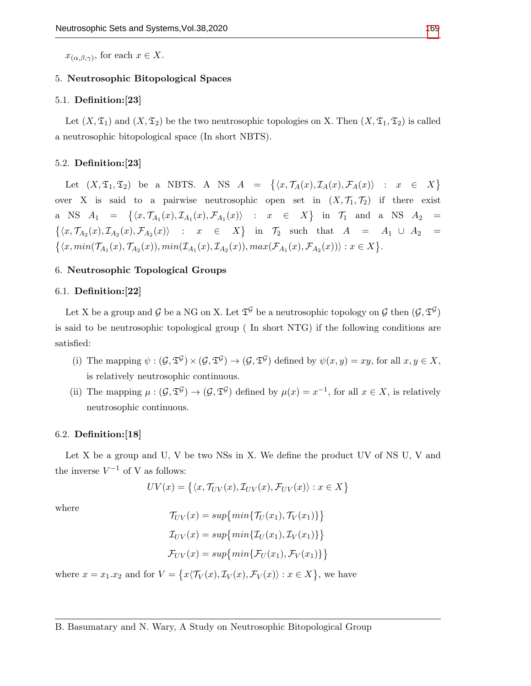$x_{(\alpha,\beta,\gamma)}$ , for each  $x \in X$ .

### 5. Neutrosophic Bitopological Spaces

# 5.1. Definition:[23]

Let  $(X, \mathfrak{T}_1)$  and  $(X, \mathfrak{T}_2)$  be the two neutrosophic topologies on X. Then  $(X, \mathfrak{T}_1, \mathfrak{T}_2)$  is called a neutrosophic bitopological space (In short NBTS).

### 5.2. Definition:[23]

Let  $(X, \mathfrak{T}_1, \mathfrak{T}_2)$  be a NBTS. A NS  $A = \{ \langle x, \mathcal{T}_A(x), \mathcal{T}_A(x), \mathcal{F}_A(x) \rangle : x \in X \}$ over X is said to a pairwise neutrosophic open set in  $(X, \mathcal{T}_1, \mathcal{T}_2)$  if there exist a NS  $A_1 = \{ \langle x, \mathcal{T}_{A_1}(x), \mathcal{I}_{A_1}(x), \mathcal{F}_{A_1}(x) \rangle : x \in X \}$  in  $\mathcal{T}_1$  and a NS  $A_2 =$  $\{\langle x,\mathcal{T}_{A_2}(x),\mathcal{I}_{A_2}(x),\mathcal{F}_{A_2}(x)\rangle$  :  $x \in X\}$  in  $\mathcal{T}_2$  such that  $A = A_1 \cup A_2 =$  $\{\langle x, min(\mathcal{T}_{A_1}(x), \mathcal{T}_{A_2}(x)), min(\mathcal{I}_{A_1}(x), \mathcal{I}_{A_2}(x)), max(\mathcal{F}_{A_1}(x), \mathcal{F}_{A_2}(x))\rangle : x \in X\}.$ 

### 6. Neutrosophic Topological Groups

#### 6.1. Definition:[22]

Let X be a group and G be a NG on X. Let  $\mathfrak{T}^{\mathcal{G}}$  be a neutrosophic topology on G then  $(\mathcal{G},\mathfrak{T}^{\mathcal{G}})$ is said to be neutrosophic topological group ( In short NTG) if the following conditions are satisfied:

- (i) The mapping  $\psi : (\mathcal{G}, \mathfrak{T}^{\mathcal{G}}) \times (\mathcal{G}, \mathfrak{T}^{\mathcal{G}}) \to (\mathcal{G}, \mathfrak{T}^{\mathcal{G}})$  defined by  $\psi(x, y) = xy$ , for all  $x, y \in X$ , is relatively neutrosophic continuous.
- (ii) The mapping  $\mu: (\mathcal{G}, \mathfrak{T}^{\mathcal{G}}) \to (\mathcal{G}, \mathfrak{T}^{\mathcal{G}})$  defined by  $\mu(x) = x^{-1}$ , for all  $x \in X$ , is relatively neutrosophic continuous.

#### 6.2. Definition:[18]

Let X be a group and U, V be two NSs in X. We define the product UV of NS U, V and the inverse  $V^{-1}$  of V as follows:

$$
UV(x) = \{ \langle x, \mathcal{T}_{UV}(x), \mathcal{I}_{UV}(x), \mathcal{F}_{UV}(x) \rangle : x \in X \}
$$

where

$$
\mathcal{T}_{UV}(x) = \sup\{\min\{\mathcal{T}_U(x_1), \mathcal{T}_V(x_1)\}\}
$$

$$
\mathcal{I}_{UV}(x) = \sup\{\min\{\mathcal{I}_U(x_1), \mathcal{I}_V(x_1)\}\}
$$

$$
\mathcal{F}_{UV}(x) = \sup\{\min\{\mathcal{F}_U(x_1), \mathcal{F}_V(x_1)\}\}
$$

where  $x = x_1.x_2$  and for  $V = \{x \langle \mathcal{T}_V(x), \mathcal{I}_V(x), \mathcal{F}_V(x) \rangle : x \in X\}$ , we have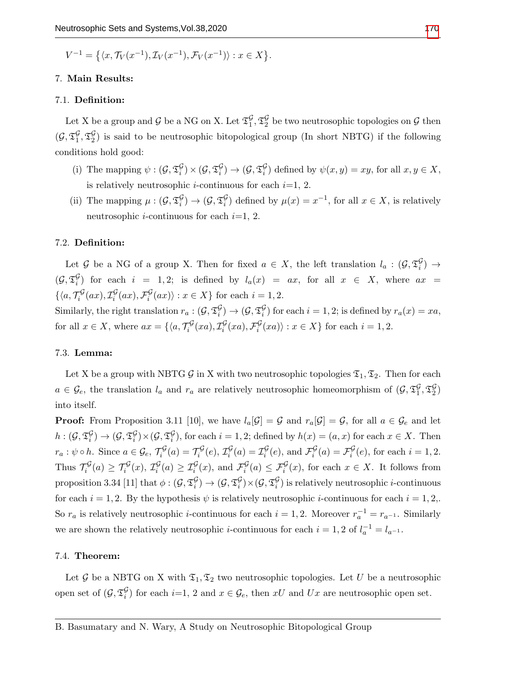$$
V^{-1} = \left\{ \langle x, \mathcal{T}_V(x^{-1}), \mathcal{I}_V(x^{-1}), \mathcal{F}_V(x^{-1}) \rangle : x \in X \right\}.
$$

### 7. Main Results:

## 7.1. Definition:

Let X be a group and G be a NG on X. Let  $\mathfrak{T}_1^{\mathcal{G}}, \mathfrak{T}_2^{\mathcal{G}}$  be two neutrosophic topologies on G then  $(\mathcal{G}, \mathfrak{T}_1^{\mathcal{G}}, \mathfrak{T}_2^{\mathcal{G}})$  is said to be neutrosophic bitopological group (In short NBTG) if the following conditions hold good:

- (i) The mapping  $\psi : (\mathcal{G}, \mathfrak{T}_{i}^{\mathcal{G}}) \times (\mathcal{G}, \mathfrak{T}_{i}^{\mathcal{G}}) \to (\mathcal{G}, \mathfrak{T}_{i}^{\mathcal{G}})$  defined by  $\psi(x, y) = xy$ , for all  $x, y \in X$ , is relatively neutrosophic *i*-continuous for each  $i=1, 2$ .
- (ii) The mapping  $\mu: (\mathcal{G}, \mathfrak{T}_{i}^{\mathcal{G}}) \to (\mathcal{G}, \mathfrak{T}_{i}^{\mathcal{G}})$  defined by  $\mu(x) = x^{-1}$ , for all  $x \in X$ , is relatively neutrosophic *i*-continuous for each  $i=1, 2$ .

# 7.2. Definition:

Let G be a NG of a group X. Then for fixed  $a \in X$ , the left translation  $l_a : (\mathcal{G}, \mathfrak{T}_i^{\mathcal{G}}) \to$  $(\mathcal{G}, \mathfrak{T}_{i}^{\mathcal{G}})$  for each  $i = 1, 2$ ; is defined by  $l_a(x) = ax$ , for all  $x \in X$ , where  $ax =$  $\{\langle a, \mathcal{T}_i^{\mathcal{G}}(ax), \mathcal{I}_i^{\mathcal{G}}(ax), \mathcal{F}_i^{\mathcal{G}}(ax)\rangle : x \in X\}$  for each  $i = 1, 2$ .

Similarly, the right translation  $r_a: (\mathcal{G}, \mathfrak{T}_i^{\mathcal{G}}) \to (\mathcal{G}, \mathfrak{T}_i^{\mathcal{G}})$  for each  $i = 1, 2$ ; is defined by  $r_a(x) = xa$ , for all  $x \in X$ , where  $ax = \{ \langle a, \mathcal{T}_i^{\mathcal{G}}(xa), \mathcal{I}_i^{\mathcal{G}}(xa), \mathcal{F}_i^{\mathcal{G}}(xa) \rangle : x \in X \}$  for each  $i = 1, 2$ .

## 7.3. Lemma:

Let X be a group with NBTG  $\mathcal G$  in X with two neutrosophic topologies  $\mathfrak T_1, \mathfrak T_2$ . Then for each  $a \in \mathcal{G}_e$ , the translation  $l_a$  and  $r_a$  are relatively neutrosophic homeomorphism of  $(\mathcal{G}, \mathfrak{T}_1^{\mathcal{G}}, \mathfrak{T}_2^{\mathcal{G}})$ into itself.

**Proof:** From Proposition 3.11 [10], we have  $l_a[\mathcal{G}] = \mathcal{G}$  and  $r_a[\mathcal{G}] = \mathcal{G}$ , for all  $a \in \mathcal{G}_e$  and let  $h:(\mathcal{G},\mathfrak{T}_{i}^{\mathcal{G}})\to(\mathcal{G},\mathfrak{T}_{i}^{\mathcal{G}})\times(\mathcal{G},\mathfrak{T}_{i}^{\mathcal{G}})$ , for each  $i=1,2$ ; defined by  $h(x)=(a,x)$  for each  $x\in X$ . Then  $r_a: \psi \circ h$ . Since  $a \in \mathcal{G}_e$ ,  $\mathcal{T}_i^{\mathcal{G}}(a) = \mathcal{T}_i^{\mathcal{G}}(e)$ ,  $\mathcal{I}_i^{\mathcal{G}}(a) = \mathcal{I}_i^{\mathcal{G}}(e)$ , and  $\mathcal{F}_i^{\mathcal{G}}(a) = \mathcal{F}_i^{\mathcal{G}}(e)$ , for each  $i = 1, 2$ . Thus  $\mathcal{T}_i^{\mathcal{G}}(a) \geq \mathcal{T}_i^{\mathcal{G}}(x)$ ,  $\mathcal{I}_i^{\mathcal{G}}(a) \geq \mathcal{I}_i^{\mathcal{G}}(x)$ , and  $\mathcal{F}_i^{\mathcal{G}}(a) \leq \mathcal{F}_i^{\mathcal{G}}(x)$ , for each  $x \in X$ . It follows from proposition 3.34 [11] that  $\phi:(\mathcal{G},\mathfrak{T}^{\mathcal{G}}_i)\to (\mathcal{G},\mathfrak{T}^{\mathcal{G}}_i)\times (\mathcal{G},\mathfrak{T}^{\mathcal{G}}_i)$  is relatively neutrosophic *i*-continuous for each  $i = 1, 2$ . By the hypothesis  $\psi$  is relatively neutrosophic *i*-continuous for each  $i = 1, 2$ . So  $r_a$  is relatively neutrosophic *i*-continuous for each  $i = 1, 2$ . Moreover  $r_a^{-1} = r_{a^{-1}}$ . Similarly we are shown the relatively neutrosophic *i*-continuous for each  $i = 1, 2$  of  $l_a^{-1} = l_{a^{-1}}$ .

# 7.4. Theorem:

Let G be a NBTG on X with  $\mathfrak{T}_1, \mathfrak{T}_2$  two neutrosophic topologies. Let U be a neutrosophic open set of  $(\mathcal{G}, \mathfrak{T}_i^{\mathcal{G}})$  for each  $i=1, 2$  and  $x \in \mathcal{G}_e$ , then  $xU$  and  $Ux$  are neutrosophic open set.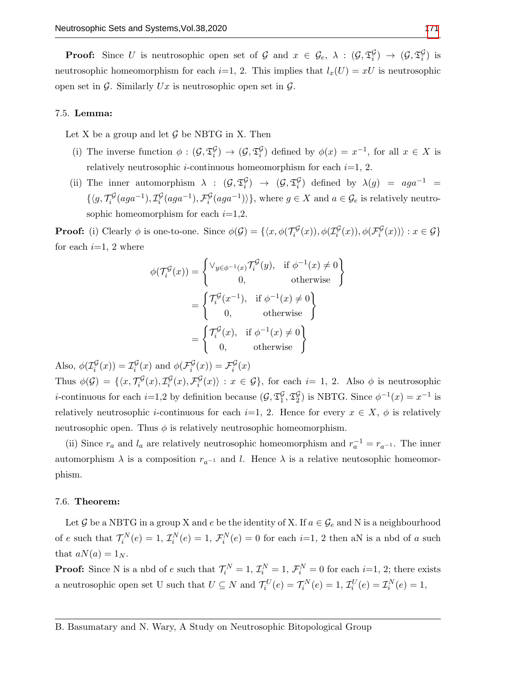**Proof:** Since U is neutrosophic open set of G and  $x \in \mathcal{G}_e$ ,  $\lambda : (\mathcal{G}, \mathfrak{T}_i^{\mathcal{G}}) \to (\mathcal{G}, \mathfrak{T}_i^{\mathcal{G}})$  is neutrosophic homeomorphism for each  $i=1, 2$ . This implies that  $l_x(U) = xU$  is neutrosophic open set in  $\mathcal G$ . Similarly Ux is neutrosophic open set in  $\mathcal G$ .

### 7.5. Lemma:

Let X be a group and let  $\mathcal G$  be NBTG in X. Then

- (i) The inverse function  $\phi: (\mathcal{G}, \mathfrak{T}_{i}^{\mathcal{G}}) \to (\mathcal{G}, \mathfrak{T}_{i}^{\mathcal{G}})$  defined by  $\phi(x) = x^{-1}$ , for all  $x \in X$  is relatively neutrosophic *i*-continuous homeomorphism for each  $i=1, 2$ .
- (ii) The inner automorphism  $\lambda$  :  $(\mathcal{G}, \mathfrak{T}_{i}^{\mathcal{G}}) \rightarrow (\mathcal{G}, \mathfrak{T}_{i}^{\mathcal{G}})$  defined by  $\lambda(g) = aga^{-1}$  $\{\langle g, \mathcal{T}_{i}^{\mathcal{G}}(aga^{-1}), \mathcal{I}_{i}^{\mathcal{G}}(aga^{-1}), \mathcal{F}_{i}^{\mathcal{G}}(aga^{-1})\rangle\},\$  where  $g \in X$  and  $a \in \mathcal{G}_{e}$  is relatively neutrosophic homeomorphism for each  $i=1,2$ .

**Proof:** (i) Clearly  $\phi$  is one-to-one. Since  $\phi(\mathcal{G}) = \{ \langle x, \phi(\mathcal{T}_i^{\mathcal{G}}(x)), \phi(\mathcal{I}_i^{\mathcal{G}}(x)), \phi(\mathcal{F}_i^{\mathcal{G}}(x)) \rangle : x \in \mathcal{G} \}$ for each  $i=1, 2$  where

$$
\phi(\mathcal{T}_i^{\mathcal{G}}(x)) = \begin{cases} \vee_{y \in \phi^{-1}(x)} \mathcal{T}_i^{\mathcal{G}}(y), & \text{if } \phi^{-1}(x) \neq 0 \\ 0, & \text{otherwise} \end{cases}
$$

$$
= \begin{cases} \mathcal{T}_i^{\mathcal{G}}(x^{-1}), & \text{if } \phi^{-1}(x) \neq 0 \\ 0, & \text{otherwise} \end{cases}
$$

$$
= \begin{cases} \mathcal{T}_i^{\mathcal{G}}(x), & \text{if } \phi^{-1}(x) \neq 0 \\ 0, & \text{otherwise} \end{cases}
$$

Also,  $\phi(\mathcal{I}_i^{\mathcal{G}}(x)) = \mathcal{I}_i^{\mathcal{G}}(x)$  and  $\phi(\mathcal{F}_i^{\mathcal{G}}(x)) = \mathcal{F}_i^{\mathcal{G}}(x)$ Thus  $\phi(\mathcal{G}) = \{ \langle x, \mathcal{T}_i^{\mathcal{G}}(x), \mathcal{I}_i^{\mathcal{G}}(x), \mathcal{F}_i^{\mathcal{G}}(x) \rangle : x \in \mathcal{G} \},\$  for each  $i=1, 2$ . Also  $\phi$  is neutrosophic *i*-continuous for each *i*=1,2 by definition because  $(\mathcal{G}, \mathfrak{T}_1^{\mathcal{G}}, \mathfrak{T}_2^{\mathcal{G}})$  is NBTG. Since  $\phi^{-1}(x) = x^{-1}$  is relatively neutrosophic *i*-continuous for each *i*=1, 2. Hence for every  $x \in X$ ,  $\phi$  is relatively neutrosophic open. Thus  $\phi$  is relatively neutrosophic homeomorphism.

(ii) Since  $r_a$  and  $l_a$  are relatively neutrosophic homeomorphism and  $r_a^{-1} = r_{a^{-1}}$ . The inner automorphism  $\lambda$  is a composition  $r_{a^{-1}}$  and l. Hence  $\lambda$  is a relative neutosophic homeomorphism.

### 7.6. Theorem:

Let G be a NBTG in a group X and e be the identity of X. If  $a \in \mathcal{G}_e$  and N is a neighbourhood of e such that  $\mathcal{T}_i^N(e) = 1$ ,  $\mathcal{I}_i^N(e) = 1$ ,  $\mathcal{F}_i^N(e) = 0$  for each  $i=1, 2$  then aN is a nbd of a such that  $aN(a) = 1_N$ .

**Proof:** Since N is a nbd of e such that  $\mathcal{T}_i^N = 1$ ,  $\mathcal{I}_i^N = 1$ ,  $\mathcal{F}_i^N = 0$  for each  $i=1, 2$ ; there exists a neutrosophic open set U such that  $U \subseteq N$  and  $\mathcal{T}_i^U(e) = \mathcal{T}_i^N(e) = 1$ ,  $\mathcal{I}_i^U(e) = \mathcal{I}_i^N(e) = 1$ ,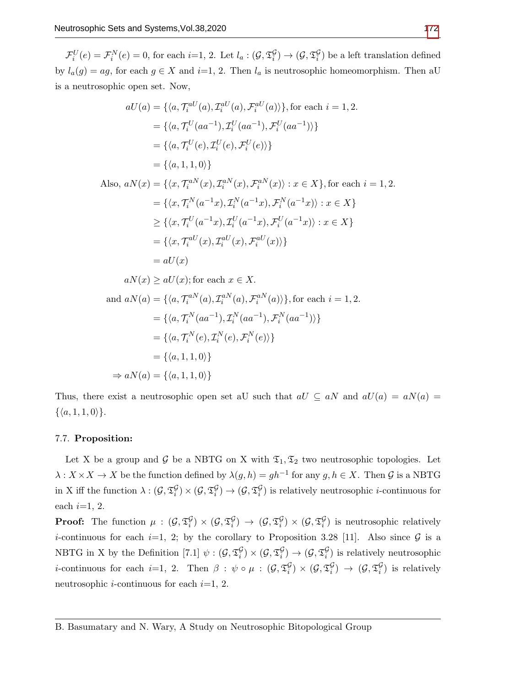$\mathcal{F}_i^U(e) = \mathcal{F}_i^N(e) = 0$ , for each  $i=1, 2$ . Let  $l_a: (\mathcal{G}, \mathfrak{T}_i^{\mathcal{G}}) \to (\mathcal{G}, \mathfrak{T}_i^{\mathcal{G}})$  be a left translation defined by  $l_a(g) = ag$ , for each  $g \in X$  and  $i=1, 2$ . Then  $l_a$  is neutrosophic homeomorphism. Then aU is a neutrosophic open set. Now,

$$
aU(a) = \{ \langle a, \mathcal{T}_i^{aU}(a), \mathcal{I}_i^{aU}(a), \mathcal{F}_i^{aU}(a) \rangle \}, \text{for each } i = 1, 2.
$$
  
\n
$$
= \{ \langle a, \mathcal{T}_i^{U}(aa^{-1}), \mathcal{I}_i^{U}(aa^{-1}), \mathcal{F}_i^{U}(aa^{-1}) \rangle \}
$$
  
\n
$$
= \{ \langle a, \mathcal{T}_i^{U}(e), \mathcal{I}_i^{U}(e), \mathcal{F}_i^{U}(e) \rangle \}
$$
  
\n
$$
= \{ \langle a, 1, 1, 0 \rangle \}
$$
  
\nAlso,  $aN(x) = \{ \langle x, \mathcal{T}_i^{aN}(x), \mathcal{T}_i^{aN}(x), \mathcal{F}_i^{aN}(x) \rangle : x \in X \}, \text{for each } i = 1, 2.$   
\n
$$
= \{ \langle x, \mathcal{T}_i^{N}(a^{-1}x), \mathcal{I}_i^{N}(a^{-1}x), \mathcal{F}_i^{N}(a^{-1}x) \rangle : x \in X \}
$$
  
\n
$$
\geq \{ \langle x, \mathcal{T}_i^{U}(a^{-1}x), \mathcal{I}_i^{U}(a^{-1}x), \mathcal{F}_i^{U}(a^{-1}x) \rangle : x \in X \}
$$
  
\n
$$
= \{ \langle x, \mathcal{T}_i^{aU}(x), \mathcal{I}_i^{aU}(x), \mathcal{F}_i^{aU}(x) \rangle \}
$$

$$
= aU(x)
$$
  
=  $aV(x)$   
 $aN(x) \ge aU(x)$ ; for each  $x \in X$ .  
and  $aN(a) = \{(a, \mathcal{T}_a^{aN}(a), \mathcal{I}_i^{aN}(a), \mathcal{F}_i^{aN}(a))\}$ , for each  $i = 1, 2$ .

and 
$$
dN(a) = \{ \langle a, I_i \quad (a), L_i \quad (a), \mathcal{F}_i \quad (a) \rangle \}, \text{ for each } i = 1, 2.
$$
\n
$$
= \{ \langle a, \mathcal{T}_i^N(aa^{-1}), \mathcal{I}_i^N(aa^{-1}), \mathcal{F}_i^N(aa^{-1}) \rangle \}
$$
\n
$$
= \{ \langle a, \mathcal{T}_i^N(e), \mathcal{I}_i^N(e), \mathcal{F}_i^N(e) \rangle \}
$$
\n
$$
= \{ \langle a, 1, 1, 0 \rangle \}
$$
\n
$$
\Rightarrow aN(a) = \{ \langle a, 1, 1, 0 \rangle \}
$$

Thus, there exist a neutrosophic open set aU such that  $aU \subseteq aN$  and  $aU(a) = aN(a)$  $\{\langle a, 1, 1, 0 \rangle\}.$ 

## 7.7. Proposition:

Let X be a group and G be a NBTG on X with  $\mathfrak{T}_1, \mathfrak{T}_2$  two neutrosophic topologies. Let  $\lambda: X \times X \to X$  be the function defined by  $\lambda(g, h) = gh^{-1}$  for any  $g, h \in X$ . Then  $\mathcal G$  is a NBTG in X iff the function  $\lambda: (\mathcal{G}, \mathfrak{T}_i^{\mathcal{G}}) \times (\mathcal{G}, \mathfrak{T}_i^{\mathcal{G}}) \to (\mathcal{G}, \mathfrak{T}_i^{\mathcal{G}})$  is relatively neutrosophic *i*-continuous for each  $i=1, 2$ .

**Proof:** The function  $\mu: (\mathcal{G}, \mathfrak{T}_{i}^{\mathcal{G}}) \times (\mathcal{G}, \mathfrak{T}_{i}^{\mathcal{G}}) \to (\mathcal{G}, \mathfrak{T}_{i}^{\mathcal{G}}) \times (\mathcal{G}, \mathfrak{T}_{i}^{\mathcal{G}})$  is neutrosophic relatively *i*-continuous for each *i*=1, 2; by the corollary to Proposition 3.28 [11]. Also since  $G$  is a NBTG in X by the Definition  $[7.1] \psi : (\mathcal{G}, \mathfrak{T}_{i}^{\mathcal{G}}) \times (\mathcal{G}, \mathfrak{T}_{i}^{\mathcal{G}}) \to (\mathcal{G}, \mathfrak{T}_{i}^{\mathcal{G}})$  is relatively neutrosophic *i*-continuous for each *i*=1, 2. Then  $\beta : \psi \circ \mu : (\mathcal{G}, \mathfrak{T}_{i}^{\mathcal{G}}) \times (\mathcal{G}, \mathfrak{T}_{i}^{\mathcal{G}}) \rightarrow (\mathcal{G}, \mathfrak{T}_{i}^{\mathcal{G}})$  is relatively neutrosophic *i*-continuous for each  $i=1, 2$ .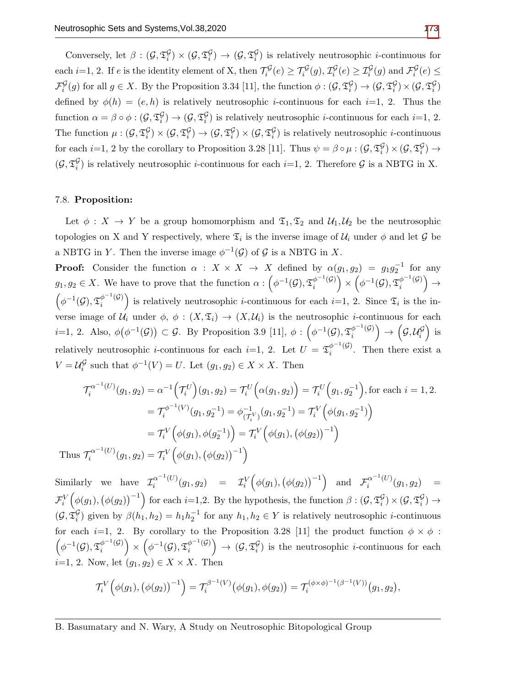Conversely, let  $\beta: (\mathcal{G}, \mathfrak{T}_{i}^{\mathcal{G}}) \times (\mathcal{G}, \mathfrak{T}_{i}^{\mathcal{G}}) \to (\mathcal{G}, \mathfrak{T}_{i}^{\mathcal{G}})$  is relatively neutrosophic *i*-continuous for each *i*=1, 2. If *e* is the identity element of X, then  $\mathcal{T}_i^{\mathcal{G}}(e) \geq \mathcal{T}_i^{\mathcal{G}}(g)$ ,  $\mathcal{I}_i^{\mathcal{G}}(e) \geq \mathcal{I}_i^{\mathcal{G}}(g)$  and  $\mathcal{F}_i^{\mathcal{G}}(e) \leq$  $\mathcal{F}^{\mathcal{G}}_i(g)$  for all  $g \in X$ . By the Proposition 3.34 [11], the function  $\phi : (\mathcal{G}, \mathfrak{T}^{\mathcal{G}}_i) \to (\mathcal{G}, \mathfrak{T}^{\mathcal{G}}_i) \times (\mathcal{G}, \mathfrak{T}^{\mathcal{G}}_i)$ defined by  $\phi(h) = (e, h)$  is relatively neutrosophic *i*-continuous for each *i*=1, 2. Thus the function  $\alpha = \beta \circ \phi : (\mathcal{G}, \mathfrak{T}_{i}^{\mathcal{G}}) \to (\mathcal{G}, \mathfrak{T}_{i}^{\mathcal{G}})$  is relatively neutrosophic *i*-continuous for each *i*=1, 2. The function  $\mu: (\mathcal{G}, \mathfrak{T}_{i}^{\mathcal{G}}) \times (\mathcal{G}, \mathfrak{T}_{i}^{\mathcal{G}}) \to (\mathcal{G}, \mathfrak{T}_{i}^{\mathcal{G}}) \times (\mathcal{G}, \mathfrak{T}_{i}^{\mathcal{G}})$  is relatively neutrosophic *i*-continuous for each  $i=1, 2$  by the corollary to Proposition 3.28 [11]. Thus  $\psi = \beta \circ \mu : (\mathcal{G}, \mathfrak{T}_{i}^{\mathcal{G}}) \times (\mathcal{G}, \mathfrak{T}_{i}^{\mathcal{G}}) \rightarrow$  $(\mathcal{G}, \mathfrak{T}_{i}^{\mathcal{G}})$  is relatively neutrosophic *i*-continuous for each *i*=1, 2. Therefore  $\mathcal{G}$  is a NBTG in X.

#### 7.8. Proposition:

Let  $\phi: X \to Y$  be a group homomorphism and  $\mathfrak{T}_1, \mathfrak{T}_2$  and  $\mathcal{U}_1, \mathcal{U}_2$  be the neutrosophic topologies on X and Y respectively, where  $\mathfrak{T}_i$  is the inverse image of  $\mathcal{U}_i$  under  $\phi$  and let G be a NBTG in Y. Then the inverse image  $\phi^{-1}(\mathcal{G})$  of  $\mathcal{G}$  is a NBTG in X.

**Proof:** Consider the function  $\alpha : X \times X \to X$  defined by  $\alpha(g_1, g_2) = g_1 g_2^{-1}$  for any  $g_1, g_2 \in X$ . We have to prove that the function  $\alpha: \left(\phi^{-1}(\mathcal{G}), \mathfrak{T}_i^{\phi^{-1}(\mathcal{G})}\right)$  $\left(\phi^{-1}(\mathcal{G})\right)\times \left(\phi^{-1}(\mathcal{G}), \mathfrak{T}^{\phi^{-1}(\mathcal{G})}_i\right)$  $\begin{matrix} \phi^{-1}(\mathcal{G})\ i \end{matrix} \Big) \rightarrow$  $\left(\phi^{-1}(\mathcal{G}), \mathfrak{T}^{\phi^{-1}(\mathcal{G})}_i\right)$  $\binom{\phi^{-1}(G)}{i}$  is relatively neutrosophic *i*-continuous for each *i*=1, 2. Since  $\mathfrak{T}_i$  is the inverse image of  $\mathcal{U}_i$  under  $\phi$ ,  $\phi: (X, \mathfrak{T}_i) \to (X, \mathcal{U}_i)$  is the neutrosophic *i*-continuous for each i=1, 2. Also,  $\phi(\phi^{-1}(\mathcal{G})) \subset \mathcal{G}$ . By Proposition 3.9 [11],  $\phi : (\phi^{-1}(\mathcal{G}), \mathfrak{T}_{i}^{\phi^{-1}(\mathcal{G})})$  $\left(\begin{matrix} \phi^{-1}(\mathcal{G}) \\ i \end{matrix}\right) \rightarrow \left(\begin{matrix} \mathcal{G}, \mathcal{U}_i^{\mathcal{G}} \end{matrix}\right)$  is relatively neutrosophic *i*-continuous for each *i*=1, 2. Let  $U = \mathfrak{T}_i^{\phi^{-1}(\mathcal{G})}$  $\int_{i}^{\varphi}$  (9). Then there exist a  $V = \mathcal{U}_i^{\mathcal{G}}$  such that  $\phi^{-1}(V) = U$ . Let  $(g_1, g_2) \in X \times X$ . Then

$$
\mathcal{T}_{i}^{\alpha^{-1}(U)}(g_{1}, g_{2}) = \alpha^{-1} \Big( \mathcal{T}_{i}^{U} \Big) (g_{1}, g_{2}) = \mathcal{T}_{i}^{U} \Big( \alpha(g_{1}, g_{2}) \Big) = \mathcal{T}_{i}^{U} \Big( g_{1}, g_{2}^{-1} \Big), \text{for each } i = 1, 2.
$$
\n
$$
= \mathcal{T}_{i}^{\phi^{-1}(V)}(g_{1}, g_{2}^{-1}) = \phi_{(\mathcal{T}_{i}^{V})}^{-1}(g_{1}, g_{2}^{-1}) = \mathcal{T}_{i}^{V} \Big( \phi(g_{1}, g_{2}^{-1}) \Big)
$$
\n
$$
= \mathcal{T}_{i}^{V} \Big( \phi(g_{1}), \phi(g_{2}^{-1}) \Big) = \mathcal{T}_{i}^{V} \Big( \phi(g_{1}), \big( \phi(g_{2}) \big)^{-1} \Big)
$$
\nThus  $\mathcal{T}_{i}^{\alpha^{-1}(U)}(g_{1}, g_{2}) = \mathcal{T}_{i}^{V} \Big( \phi(g_{1}), \big( \phi(g_{2}) \big)^{-1} \Big)$ 

Similarly we have  $\mathcal{I}^{\alpha^{-1}(U)}_i$  $\begin{array}{lll} \alpha^{-1}(U)(g_1,g_2) & = & \mathcal{I}^V_i\Big(\phi(g_1),\big(\phi(g_2)\big)^{-1}\Big) \quad \text{and} \quad \mathcal{F}^{\alpha^{-1}(U)}_i \end{array}$  $\int_{i}^{\alpha}$  (*C*)( $g_1, g_2$ ) =  $\mathcal{F}_{i}^{V}(\phi(g_1), (\phi(g_2))^{-1})$  for each  $i=1,2$ . By the hypothesis, the function  $\beta: (\mathcal{G}, \mathfrak{T}_{i}^{\mathcal{G}}) \times (\mathcal{G}, \mathfrak{T}_{i}^{\mathcal{G}}) \rightarrow$  $(\mathcal{G}, \mathfrak{T}_{i}^{\mathcal{G}})$  given by  $\beta(h_1, h_2) = h_1 h_2^{-1}$  for any  $h_1, h_2 \in Y$  is relatively neutrosophic *i*-continuous for each i=1, 2. By corollary to the Proposition 3.28 [11] the product function  $\phi \times \phi$ :  $\left(\phi^{-1}(\mathcal{G}), \mathfrak{T}^{\phi^{-1}(\mathcal{G})}_i\right)$  $\left(\phi^{-1}(\mathcal{G})\right) \times \left(\phi^{-1}(\mathcal{G}), \mathfrak{T}^{\phi^{-1}(\mathcal{G})}_i\right)$  $\begin{bmatrix} \phi^{-1}(\mathcal{G}) \\ i \end{bmatrix} \rightarrow (\mathcal{G}, \mathfrak{T}_{i}^{\mathcal{G}})$  is the neutrosophic *i*-continuous for each  $i=1, 2$ . Now, let  $(q_1, q_2) \in X \times X$ . Then

$$
\mathcal{T}_{i}^{V}(\phi(g_1), (\phi(g_2))^{-1}) = \mathcal{T}_{i}^{\beta^{-1}(V)}(\phi(g_1), \phi(g_2)) = \mathcal{T}_{i}^{(\phi \times \phi)^{-1}(\beta^{-1}(V))}(g_1, g_2),
$$

B. Basumatary and N. Wary, A Study on Neutrosophic Bitopological Group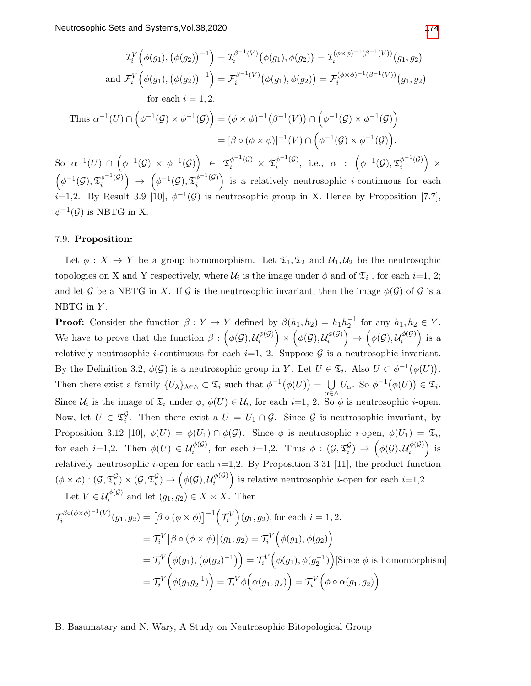$$
\mathcal{I}_{i}^{V}\Big(\phi(g_{1}),\big(\phi(g_{2})\big)^{-1}\Big) = \mathcal{I}_{i}^{\beta^{-1}(V)}\big(\phi(g_{1}),\phi(g_{2})\big) = \mathcal{I}_{i}^{(\phi\times\phi)^{-1}(\beta^{-1}(V))}(g_{1},g_{2})
$$
\nand 
$$
\mathcal{F}_{i}^{V}\Big(\phi(g_{1}),\big(\phi(g_{2})\big)^{-1}\Big) = \mathcal{F}_{i}^{\beta^{-1}(V)}\big(\phi(g_{1}),\phi(g_{2})\big) = \mathcal{F}_{i}^{(\phi\times\phi)^{-1}(\beta^{-1}(V))}(g_{1},g_{2})
$$
\nfor each  $i = 1, 2$ .  
\nThus 
$$
\alpha^{-1}(U) \cap \Big(\phi^{-1}(G) \times \phi^{-1}(G)\Big) = (\phi \times \phi)^{-1}(\beta^{-1}(V)) \cap \Big(\phi^{-1}(G) \times \phi^{-1}(G)\Big)
$$
\n
$$
= [\beta \circ (\phi \times \phi)]^{-1}(V) \cap \Big(\phi^{-1}(G) \times \phi^{-1}(G)\Big).
$$
\nSo 
$$
\alpha^{-1}(U) \cap \Big(\phi^{-1}(G) \times \phi^{-1}(G)\Big) \in \mathfrak{T}_{i}^{\phi^{-1}(G)} \times \mathfrak{T}_{i}^{\phi^{-1}(G)}, \text{ i.e., } \alpha : \Big(\phi^{-1}(G), \mathfrak{T}_{i}^{\phi^{-1}(G)}\Big) \times \Big(\phi^{-1}(G), \mathfrak{T}_{i}^{\phi^{-1}(G)}\Big) \to \Big(\phi^{-1}(G), \mathfrak{T}_{i}^{\phi^{-1}(G)}\Big) \text{ is a relatively neutrosophic } i\text{-continuous for each } i=1,2. \text{ By Result 3.9 [10], } \phi^{-1}(G) \text{ is neutrosophic group in X. Hence by Proposition [7.7], } \phi^{-1}(G) \text{ is NBTG in X.}
$$

#### 7.9. Proposition:

Let  $\phi: X \to Y$  be a group homomorphism. Let  $\mathfrak{T}_1, \mathfrak{T}_2$  and  $\mathcal{U}_1, \mathcal{U}_2$  be the neutrosophic topologies on X and Y respectively, where  $\mathcal{U}_i$  is the image under  $\phi$  and of  $\mathfrak{T}_i$ , for each  $i=1, 2$ ; and let G be a NBTG in X. If G is the neutrosophic invariant, then the image  $\phi(\mathcal{G})$  of G is a NBTG in  $Y$ .

**Proof:** Consider the function  $\beta: Y \to Y$  defined by  $\beta(h_1, h_2) = h_1 h_2^{-1}$  for any  $h_1, h_2 \in Y$ . We have to prove that the function  $\beta: (\phi(\mathcal{G}), \mathcal{U}^{\phi(\mathcal{G})}_i)$  $\left(\begin{smallmatrix} \phi(\mathcal{G})\ i\end{smallmatrix}\right)\times\left(\phi(\mathcal{G}),\mathcal{U}_i^{\phi(\mathcal{G})}\right)$  $\left(\begin{smallmatrix} \phi(\mathcal{G})\ i \end{smallmatrix}\right)\rightarrow \left(\begin{smallmatrix} \phi(\mathcal{G}), \mathcal{U}_i^{\phi(\mathcal{G})} \end{smallmatrix}\right)$  $\binom{\phi(\mathcal{G})}{i}$  is a relatively neutrosophic *i*-continuous for each  $i=1, 2$ . Suppose  $G$  is a neutrosophic invariant. By the Definition 3.2,  $\phi(\mathcal{G})$  is a neutrosophic group in Y. Let  $U \in \mathfrak{T}_i$ . Also  $U \subset \phi^{-1}(\phi(U))$ . Then there exist a family  $\{U_{\lambda}\}_{{\lambda}\in {\wedge}}\subset {\mathfrak{T}}_i$  such that  $\phi^{-1}(\phi(U))=$  U  $\bigcup_{\alpha \in \wedge} U_{\alpha}$ . So  $\phi^{-1}(\phi(U)) \in \mathfrak{T}_i$ . Since  $\mathcal{U}_i$  is the image of  $\mathfrak{T}_i$  under  $\phi$ ,  $\phi(U) \in \mathcal{U}_i$ , for each  $i=1, 2$ . So  $\phi$  is neutrosophic *i*-open. Now, let  $U \in \mathfrak{T}_i^{\mathcal{G}}$ . Then there exist a  $U = U_1 \cap \mathcal{G}$ . Since  $\mathcal{G}$  is neutrosophic invariant, by Proposition 3.12 [10],  $\phi(U) = \phi(U_1) \cap \phi(\mathcal{G})$ . Since  $\phi$  is neutrosophic *i*-open,  $\phi(U_1) = \mathfrak{T}_i$ , for each  $i=1,2$ . Then  $\phi(U) \in \mathcal{U}_i^{\phi(\mathcal{G})}$ , for each  $i=1,2$ . Thus  $\phi: (\mathcal{G}, \mathfrak{T}_i^{\mathcal{G}}) \to (\phi(\mathcal{G}), \mathcal{U}_i^{\phi(\mathcal{G})})$  $\binom{\phi(\mathcal{G})}{i}$  is relatively neutrosophic *i*-open for each  $i=1,2$ . By Proposition 3.31 [11], the product function  $(\phi\times\phi):(\mathcal{G},\mathfrak{T}_{i}^{\mathcal{G}})\times(\mathcal{G},\mathfrak{T}_{i}^{\mathcal{G}})\rightarrow\Big(\phi(\mathcal{G}),\mathcal{U}_{i}^{\phi(\mathcal{G})}\Big)$  $\binom{\phi(G)}{i}$  is relative neutrosophic *i*-open for each *i*=1,2. Let  $V \in \mathcal{U}_i^{\phi(\mathcal{G})}$  and let  $(g_1, g_2) \in X \times X$ . Then

$$
\mathcal{T}_{i}^{\beta \circ (\phi \times \phi)^{-1}(V)}(g_{1}, g_{2}) = [\beta \circ (\phi \times \phi)]^{-1} (\mathcal{T}_{i}^{V})(g_{1}, g_{2}), \text{for each } i = 1, 2.
$$
  
\n
$$
= \mathcal{T}_{i}^{V} [\beta \circ (\phi \times \phi)](g_{1}, g_{2}) = \mathcal{T}_{i}^{V} (\phi(g_{1}), \phi(g_{2}))
$$
  
\n
$$
= \mathcal{T}_{i}^{V} (\phi(g_{1}), (\phi(g_{2})^{-1})) = \mathcal{T}_{i}^{V} (\phi(g_{1}), \phi(g_{2}^{-1})) [\text{Since } \phi \text{ is homomorphism}]
$$
  
\n
$$
= \mathcal{T}_{i}^{V} (\phi(g_{1}g_{2}^{-1})) = \mathcal{T}_{i}^{V} \phi (\alpha(g_{1}, g_{2})) = \mathcal{T}_{i}^{V} (\phi \circ \alpha(g_{1}, g_{2}))
$$

B. Basumatary and N. Wary, A Study on Neutrosophic Bitopological Group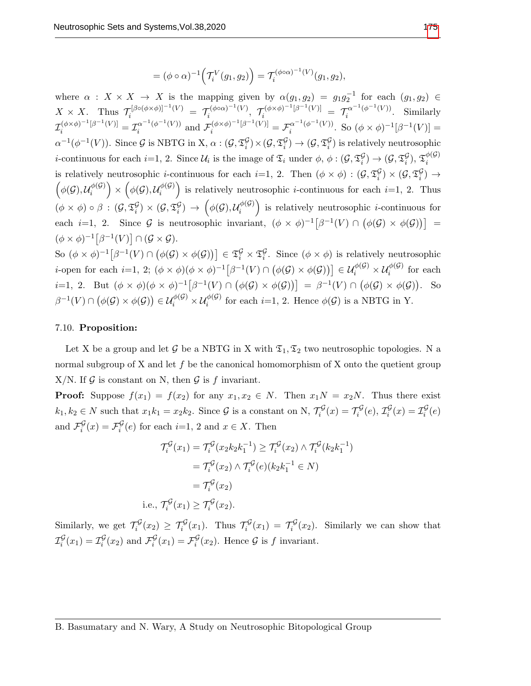$$
= (\phi \circ \alpha)^{-1} \Big( \mathcal{T}_i^V(g_1, g_2) \Big) = \mathcal{T}_i^{(\phi \circ \alpha)^{-1}(V)}(g_1, g_2),
$$

where  $\alpha$  :  $X \times X \to X$  is the mapping given by  $\alpha(g_1, g_2) = g_1 g_2^{-1}$  for each  $(g_1, g_2) \in$  $X \times X$ . Thus  $\mathcal{T}_i^{[\beta \circ (\phi \times \phi)]^{-1}(V)} = \mathcal{T}_i^{(\phi \circ \alpha)^{-1}(V)}$  $\tau_i^{(\phi \circ \alpha)^{-1}(V)}, \ \ \tau_i^{(\phi \times \phi)^{-1}[\beta^{-1}(V)]} \ = \ \ \tau_i^{\alpha^{-1}(\phi^{-1}(V))}$  $\frac{du}{dt}$  ( $\varphi$  ( $V$ )). Similarly  $\mathcal{I}_i^{(\phi \times \phi)^{-1}[\beta^{-1}(V)]} = \mathcal{I}_i^{\alpha^{-1}(\phi^{-1}(V))}$  $\sigma_i^{\alpha^{-1}(\phi^{-1}(V))}$  and  $\mathcal{F}_i^{(\phi \times \phi)^{-1}[\beta^{-1}(V)]} = \mathcal{F}_i^{\alpha^{-1}(\phi^{-1}(V))}$  $\int_{i}^{\alpha^{-1}(\phi^{-1}(V))}$ . So  $(\phi \times \phi)^{-1}[\beta^{-1}(V)] =$  $\alpha^{-1}(\phi^{-1}(V))$ . Since G is NBTG in X,  $\alpha: (\mathcal{G}, \mathfrak{T}_{i}^{\mathcal{G}}) \times (\mathcal{G}, \mathfrak{T}_{i}^{\mathcal{G}}) \to (\mathcal{G}, \mathfrak{T}_{i}^{\mathcal{G}})$  is relatively neutrosophic *i*-continuous for each *i*=1, 2. Since  $\mathcal{U}_i$  is the image of  $\mathfrak{T}_i$  under  $\phi$ ,  $\phi$  :  $(\mathcal{G}, \mathfrak{T}_i^{\mathcal{G}}) \to (\mathcal{G}, \mathfrak{T}_i^{\mathcal{G}})$ ,  $\mathfrak{T}_i^{\phi(\mathcal{G})}$ i is relatively neutrosophic *i*-continuous for each *i*=1, 2. Then  $(\phi \times \phi) : (G, \mathfrak{T}_{i}^{\mathcal{G}}) \times (G, \mathfrak{T}_{i}^{\mathcal{G}}) \rightarrow$  $\int_{\phi} (\mathcal{G}), \mathcal{U}_i^{\phi(\mathcal{G})}$  $\left(\begin{matrix} \phi(\mathcal{G})\ i \end{matrix}\right)\times \left(\begin{matrix} \phi(\mathcal{G}), \mathcal{U}_i^{\phi(\mathcal{G})} \end{matrix}\right)$  $\binom{\phi(G)}{i}$  is relatively neutrosophic *i*-continuous for each *i*=1, 2. Thus  $(\phi\times\phi)\circ\beta\,:\,(\mathcal{G},\mathfrak{T}^{\mathcal{G}}_i)\times(\mathcal{G},\mathfrak{T}^{\mathcal{G}}_i)\,\rightarrow\,\left(\phi(\mathcal{G}),\mathcal{U}^{\phi(\mathcal{G})}_i\right)$  $\begin{bmatrix} \phi(\mathcal{G}) \\ i \end{bmatrix}$  is relatively neutrosophic *i*-continuous for each *i*=1, 2. Since G is neutrosophic invariant,  $(\phi \times \phi)^{-1} [\beta^{-1}(V) \cap (\phi(\mathcal{G}) \times \phi(\mathcal{G}))] =$  $(\phi \times \phi)^{-1} [\beta^{-1}(V)] \cap (\mathcal{G} \times \mathcal{G}).$ 

So  $(\phi \times \phi)^{-1} \big[\beta^{-1}(V) \cap (\phi(\mathcal{G}) \times \phi(\mathcal{G}))\big] \in \mathfrak{T}_{i}^{\mathcal{G}} \times \mathfrak{T}_{i}^{\mathcal{G}}$ . Since  $(\phi \times \phi)$  is relatively neutrosophic *i*-open for each *i*=1, 2;  $(\phi \times \phi)(\phi \times \phi)^{-1} [\beta^{-1}(V) \cap (\phi(\mathcal{G}) \times \phi(\mathcal{G}))] \in \mathcal{U}_i^{\phi(\mathcal{G})} \times \mathcal{U}_i^{\phi(\mathcal{G})}$  for each  $i=1, 2$ . But  $(\phi \times \phi)(\phi \times \phi)^{-1}[\beta^{-1}(V) \cap (\phi(\mathcal{G}) \times \phi(\mathcal{G}))] = \beta^{-1}(V) \cap (\phi(\mathcal{G}) \times \phi(\mathcal{G}))$ . So  $\beta^{-1}(V) \cap (\phi(\mathcal{G}) \times \phi(\mathcal{G})) \in \mathcal{U}_i^{\phi(\mathcal{G})} \times \mathcal{U}_i^{\phi(\mathcal{G})}$  for each  $i=1, 2$ . Hence  $\phi(\mathcal{G})$  is a NBTG in Y.

# 7.10. Proposition:

i.e

Let X be a group and let G be a NBTG in X with  $\mathfrak{T}_1, \mathfrak{T}_2$  two neutrosophic topologies. N a normal subgroup of X and let  $f$  be the canonical homomorphism of X onto the quetient group X/N. If  $\mathcal G$  is constant on N, then  $\mathcal G$  is f invariant.

**Proof:** Suppose  $f(x_1) = f(x_2)$  for any  $x_1, x_2 \in N$ . Then  $x_1N = x_2N$ . Thus there exist  $k_1, k_2 \in N$  such that  $x_1 k_1 = x_2 k_2$ . Since G is a constant on N,  $\mathcal{T}_i^{\mathcal{G}}(x) = \mathcal{T}_i^{\mathcal{G}}(e), \mathcal{I}_i^{\mathcal{G}}(x) = \mathcal{I}_i^{\mathcal{G}}(e)$ and  $\mathcal{F}_{i}^{\mathcal{G}}(x) = \mathcal{F}_{i}^{\mathcal{G}}(e)$  for each  $i=1, 2$  and  $x \in X$ . Then

$$
\mathcal{T}_i^{\mathcal{G}}(x_1) = \mathcal{T}_i^{\mathcal{G}}(x_2 k_2 k_1^{-1}) \ge \mathcal{T}_i^{\mathcal{G}}(x_2) \wedge \mathcal{T}_i^{\mathcal{G}}(k_2 k_1^{-1})
$$

$$
= \mathcal{T}_i^{\mathcal{G}}(x_2) \wedge \mathcal{T}_i^{\mathcal{G}}(e)(k_2 k_1^{-1} \in N)
$$

$$
= \mathcal{T}_i^{\mathcal{G}}(x_2)
$$

$$
\dots, \mathcal{T}_i^{\mathcal{G}}(x_1) \ge \mathcal{T}_i^{\mathcal{G}}(x_2).
$$

Similarly, we get  $\mathcal{T}_i^{\mathcal{G}}(x_2) \geq \mathcal{T}_i^{\mathcal{G}}(x_1)$ . Thus  $\mathcal{T}_i^{\mathcal{G}}(x_1) = \mathcal{T}_i^{\mathcal{G}}(x_2)$ . Similarly we can show that  $\mathcal{I}_i^{\mathcal{G}}(x_1) = \mathcal{I}_i^{\mathcal{G}}(x_2)$  and  $\mathcal{F}_i^{\mathcal{G}}(x_1) = \mathcal{F}_i^{\mathcal{G}}(x_2)$ . Hence  $\mathcal{G}$  is f invariant.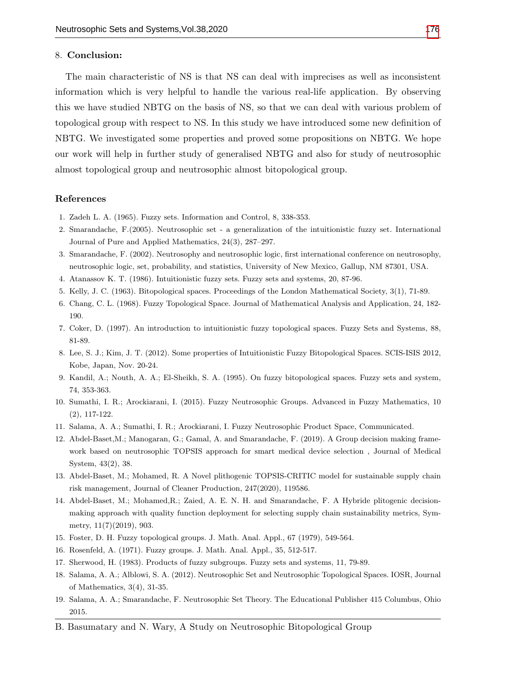#### 8. Conclusion:

The main characteristic of NS is that NS can deal with imprecises as well as inconsistent information which is very helpful to handle the various real-life application. By observing this we have studied NBTG on the basis of NS, so that we can deal with various problem of topological group with respect to NS. In this study we have introduced some new definition of NBTG. We investigated some properties and proved some propositions on NBTG. We hope our work will help in further study of generalised NBTG and also for study of neutrosophic almost topological group and neutrosophic almost bitopological group.

#### References

- 1. Zadeh L. A. (1965). Fuzzy sets. Information and Control, 8, 338-353.
- 2. Smarandache, F.(2005). Neutrosophic set a generalization of the intuitionistic fuzzy set. International Journal of Pure and Applied Mathematics, 24(3), 287–297.
- 3. Smarandache, F. (2002). Neutrosophy and neutrosophic logic, first international conference on neutrosophy, neutrosophic logic, set, probability, and statistics, University of New Mexico, Gallup, NM 87301, USA.
- 4. Atanassov K. T. (1986). Intuitionistic fuzzy sets. Fuzzy sets and systems, 20, 87-96.
- 5. Kelly, J. C. (1963). Bitopological spaces. Proceedings of the London Mathematical Society, 3(1), 71-89.
- 6. Chang, C. L. (1968). Fuzzy Topological Space. Journal of Mathematical Analysis and Application, 24, 182- 190.
- 7. Coker, D. (1997). An introduction to intuitionistic fuzzy topological spaces. Fuzzy Sets and Systems, 88, 81-89.
- 8. Lee, S. J.; Kim, J. T. (2012). Some properties of Intuitionistic Fuzzy Bitopological Spaces. SCIS-ISIS 2012, Kobe, Japan, Nov. 20-24.
- 9. Kandil, A.; Nouth, A. A.; El-Sheikh, S. A. (1995). On fuzzy bitopological spaces. Fuzzy sets and system, 74, 353-363.
- 10. Sumathi, I. R.; Arockiarani, I. (2015). Fuzzy Neutrosophic Groups. Advanced in Fuzzy Mathematics, 10 (2), 117-122.
- 11. Salama, A. A.; Sumathi, I. R.; Arockiarani, I. Fuzzy Neutrosophic Product Space, Communicated.
- 12. Abdel-Baset,M.; Manogaran, G.; Gamal, A. and Smarandache, F. (2019). A Group decision making framework based on neutrosophic TOPSIS approach for smart medical device selection , Journal of Medical System, 43(2), 38.
- 13. Abdel-Baset, M.; Mohamed, R. A Novel plithogenic TOPSIS-CRITIC model for sustainable supply chain risk management, Journal of Cleaner Production, 247(2020), 119586.
- 14. Abdel-Baset, M.; Mohamed,R.; Zaied, A. E. N. H. and Smarandache, F. A Hybride plitogenic decisionmaking approach with quality function deployment for selecting supply chain sustainability metrics, Symmetry, 11(7)(2019), 903.
- 15. Foster, D. H. Fuzzy topological groups. J. Math. Anal. Appl., 67 (1979), 549-564.
- 16. Rosenfeld, A. (1971). Fuzzy groups. J. Math. Anal. Appl., 35, 512-517.
- 17. Sherwood, H. (1983). Products of fuzzy subgroups. Fuzzy sets and systems, 11, 79-89.
- 18. Salama, A. A.; Alblowi, S. A. (2012). Neutrosophic Set and Neutrosophic Topological Spaces. IOSR, Journal of Mathematics, 3(4), 31-35.
- 19. Salama, A. A.; Smarandache, F. Neutrosophic Set Theory. The Educational Publisher 415 Columbus, Ohio 2015.
- B. Basumatary and N. Wary, A Study on Neutrosophic Bitopological Group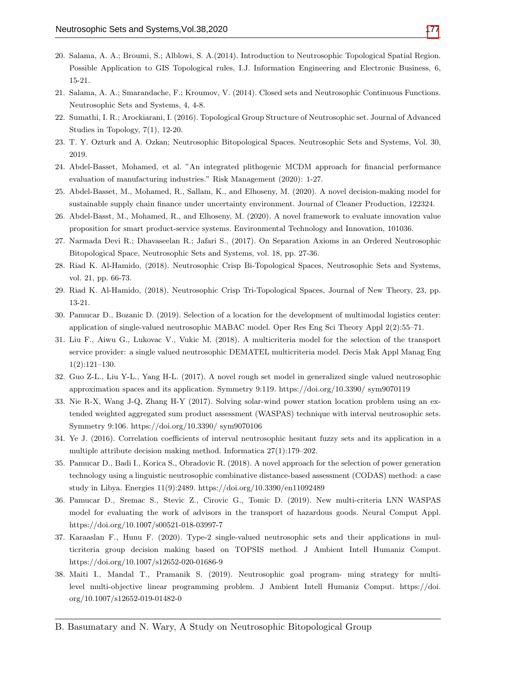- 20. Salama, A. A.; Broumi, S.; Alblowi, S. A.(2014). Introduction to Neutrosophic Topological Spatial Region. Possible Application to GIS Topological rules, I.J. Information Engineering and Electronic Business, 6, 15-21.
- 21. Salama, A. A.; Smarandache, F.; Kroumov, V. (2014). Closed sets and Neutrosophic Continuous Functions. Neutrosophic Sets and Systems, 4, 4-8.
- 22. Sumathi, I. R.; Arockiarani, I. (2016). Topological Group Structure of Neutrosophic set. Journal of Advanced Studies in Topology, 7(1), 12-20.
- 23. T. Y. Ozturk and A. Ozkan; Neutrosophic Bitopological Spaces. Neutrosophic Sets and Systems, Vol. 30, 2019.
- 24. Abdel-Basset, Mohamed, et al. "An integrated plithogenic MCDM approach for financial performance evaluation of manufacturing industries." Risk Management (2020): 1-27.
- 25. Abdel-Basset, M., Mohamed, R., Sallam, K., and Elhoseny, M. (2020). A novel decision-making model for sustainable supply chain finance under uncertainty environment. Journal of Cleaner Production, 122324.
- 26. Abdel-Basst, M., Mohamed, R., and Elhoseny, M. (2020). A novel framework to evaluate innovation value proposition for smart product-service systems. Environmental Technology and Innovation, 101036.
- 27. Narmada Devi R.; Dhavaseelan R.; Jafari S., (2017). On Separation Axioms in an Ordered Neutrosophic Bitopological Space, Neutrosophic Sets and Systems, vol. 18, pp. 27-36.
- 28. Riad K. Al-Hamido, (2018). Neutrosophic Crisp Bi-Topological Spaces, Neutrosophic Sets and Systems, vol. 21, pp. 66-73.
- 29. Riad K. Al-Hamido, (2018). Neutrosophic Crisp Tri-Topological Spaces, Journal of New Theory, 23, pp. 13-21.
- 30. Pamucar D., Bozanic D. (2019). Selection of a location for the development of multimodal logistics center: application of single-valued neutrosophic MABAC model. Oper Res Eng Sci Theory Appl 2(2):55–71.
- 31. Liu F., Aiwu G., Lukovac V., Vukic M. (2018). A multicriteria model for the selection of the transport service provider: a single valued neutrosophic DEMATEL multicriteria model. Decis Mak Appl Manag Eng 1(2):121–130.
- 32. Guo Z-L., Liu Y-L., Yang H-L. (2017). A novel rough set model in generalized single valued neutrosophic approximation spaces and its application. Symmetry 9:119. https://doi.org/10.3390/ sym9070119
- 33. Nie R-X, Wang J-Q, Zhang H-Y (2017). Solving solar-wind power station location problem using an extended weighted aggregated sum product assessment (WASPAS) technique with interval neutrosophic sets. Symmetry 9:106. https://doi.org/10.3390/ sym9070106
- 34. Ye J. (2016). Correlation coefficients of interval neutrosophic hesitant fuzzy sets and its application in a multiple attribute decision making method. Informatica 27(1):179–202.
- 35. Pamucar D., Badi I., Korica S., Obradovic R. (2018). A novel approach for the selection of power generation technology using a linguistic neutrosophic combinative distance-based assessment (CODAS) method: a case study in Libya. Energies 11(9):2489. https://doi.org/10.3390/en11092489
- 36. Pamucar D., Sremac S., Stevic Z., Cirovic G., Tomic D. (2019). New multi-criteria LNN WASPAS model for evaluating the work of advisors in the transport of hazardous goods. Neural Comput Appl. https://doi.org/10.1007/s00521-018-03997-7
- 37. Karaaslan F., Hunu F. (2020). Type-2 single-valued neutrosophic sets and their applications in multicriteria group decision making based on TOPSIS method. J Ambient Intell Humaniz Comput. https://doi.org/10.1007/s12652-020-01686-9
- 38. Maiti I., Mandal T., Pramanik S. (2019). Neutrosophic goal program- ming strategy for multilevel multi-objective linear programming problem. J Ambient Intell Humaniz Comput. https://doi. org/10.1007/s12652-019-01482-0
- B. Basumatary and N. Wary, A Study on Neutrosophic Bitopological Group